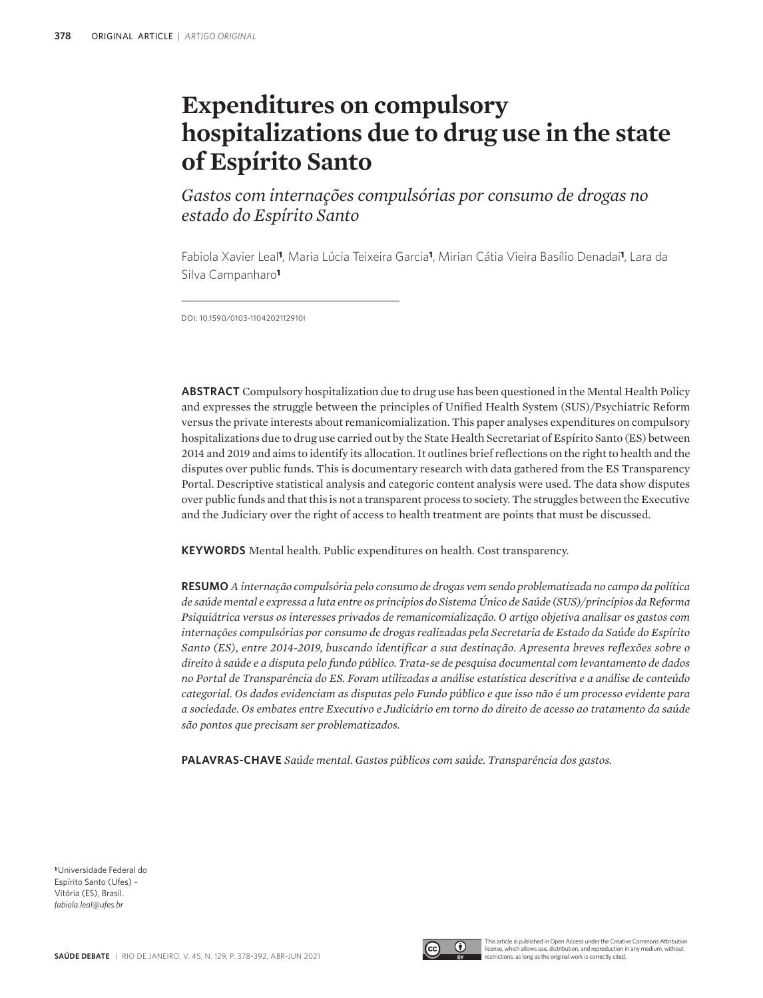# **Expenditures on compulsory hospitalizations due to drug use in the state of Espírito Santo**

*Gastos com internações compulsórias por consumo de drogas no estado do Espírito Santo*

Fabiola Xavier Leal**1**, Maria Lúcia Teixeira Garcia**1**, Mirian Cátia Vieira Basílio Denadai**1**, Lara da Silva Campanharo**<sup>1</sup>**

DOI: 10.1590/0103-1104202112910I

**ABSTRACT** Compulsory hospitalization due to drug use has been questioned in the Mental Health Policy and expresses the struggle between the principles of Unified Health System (SUS)/Psychiatric Reform versus the private interests about remanicomialization. This paper analyses expenditures on compulsory hospitalizations due to drug use carried out by the State Health Secretariat of Espírito Santo (ES) between 2014 and 2019 and aims to identify its allocation. It outlines brief reflections on the right to health and the disputes over public funds. This is documentary research with data gathered from the ES Transparency Portal. Descriptive statistical analysis and categoric content analysis were used. The data show disputes over public funds and that this is not a transparent process to society. The struggles between the Executive and the Judiciary over the right of access to health treatment are points that must be discussed.

**KEYWORDS** Mental health. Public expenditures on health. Cost transparency.

**RESUMO** *A internação compulsória pelo consumo de drogas vem sendo problematizada no campo da política de saúde mental e expressa a luta entre os princípios do Sistema Único de Saúde (SUS)/princípios da Reforma Psiquiátrica versus os interesses privados de remanicomialização. O artigo objetiva analisar os gastos com internações compulsórias por consumo de drogas realizadas pela Secretaria de Estado da Saúde do Espírito Santo (ES), entre 2014-2019, buscando identificar a sua destinação. Apresenta breves reflexões sobre o direito à saúde e a disputa pelo fundo público. Trata-se de pesquisa documental com levantamento de dados no Portal de Transparência do ES. Foram utilizadas a análise estatística descritiva e a análise de conteúdo categorial. Os dados evidenciam as disputas pelo Fundo público e que isso não é um processo evidente para a sociedade. Os embates entre Executivo e Judiciário em torno do direito de acesso ao tratamento da saúde são pontos que precisam ser problematizados.*

**PALAVRAS-CHAVE** *Saúde mental. Gastos públicos com saúde. Transparência dos gastos.*

**<sup>1</sup>**Universidade Federal do Espírito Santo (Ufes) – Vitória (ES), Brasil. *fabiola.leal@ufes.br*



This article is published in Open Access under the Creative Commons Attributio license, which allows use, distribution, and reproduction in any medium, without restrictions, as long as the original work is correctly cited.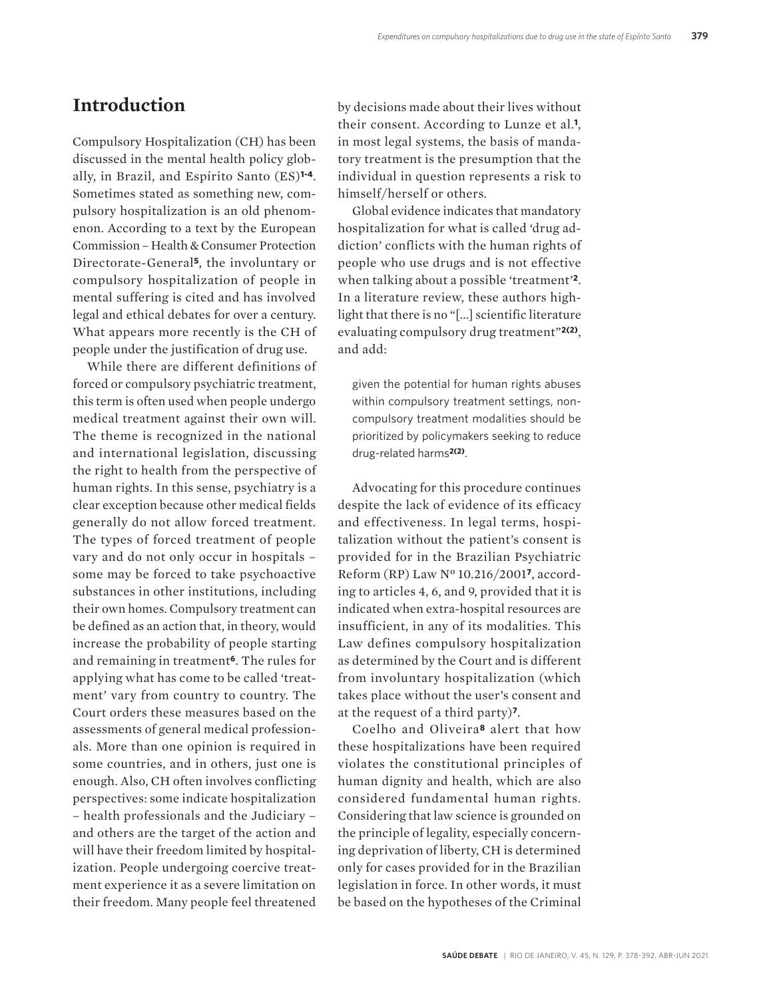### **Introduction**

Compulsory Hospitalization (CH) has been discussed in the mental health policy globally, in Brazil, and Espírito Santo (ES)**1-4**. Sometimes stated as something new, compulsory hospitalization is an old phenomenon. According to a text by the European Commission – Health & Consumer Protection Directorate-General**5**, the involuntary or compulsory hospitalization of people in mental suffering is cited and has involved legal and ethical debates for over a century. What appears more recently is the CH of people under the justification of drug use.

While there are different definitions of forced or compulsory psychiatric treatment, this term is often used when people undergo medical treatment against their own will. The theme is recognized in the national and international legislation, discussing the right to health from the perspective of human rights. In this sense, psychiatry is a clear exception because other medical fields generally do not allow forced treatment. The types of forced treatment of people vary and do not only occur in hospitals – some may be forced to take psychoactive substances in other institutions, including their own homes. Compulsory treatment can be defined as an action that, in theory, would increase the probability of people starting and remaining in treatment**6**. The rules for applying what has come to be called 'treatment' vary from country to country. The Court orders these measures based on the assessments of general medical professionals. More than one opinion is required in some countries, and in others, just one is enough. Also, CH often involves conflicting perspectives: some indicate hospitalization – health professionals and the Judiciary – and others are the target of the action and will have their freedom limited by hospitalization. People undergoing coercive treatment experience it as a severe limitation on their freedom. Many people feel threatened

by decisions made about their lives without their consent. According to Lunze et al.**1**, in most legal systems, the basis of mandatory treatment is the presumption that the individual in question represents a risk to himself/herself or others.

Global evidence indicates that mandatory hospitalization for what is called 'drug addiction' conflicts with the human rights of people who use drugs and is not effective when talking about a possible 'treatment'**2**. In a literature review, these authors highlight that there is no "[...] scientific literature evaluating compulsory drug treatment"**2(2)**, and add:

given the potential for human rights abuses within compulsory treatment settings, noncompulsory treatment modalities should be prioritized by policymakers seeking to reduce drug-related harms**2(2)**.

Advocating for this procedure continues despite the lack of evidence of its efficacy and effectiveness. In legal terms, hospitalization without the patient's consent is provided for in the Brazilian Psychiatric Reform (RP) Law Nº 10.216/2001**7**, according to articles 4, 6, and 9, provided that it is indicated when extra-hospital resources are insufficient, in any of its modalities. This Law defines compulsory hospitalization as determined by the Court and is different from involuntary hospitalization (which takes place without the user's consent and at the request of a third party)**7**.

Coelho and Oliveira**8** alert that how these hospitalizations have been required violates the constitutional principles of human dignity and health, which are also considered fundamental human rights. Considering that law science is grounded on the principle of legality, especially concerning deprivation of liberty, CH is determined only for cases provided for in the Brazilian legislation in force. In other words, it must be based on the hypotheses of the Criminal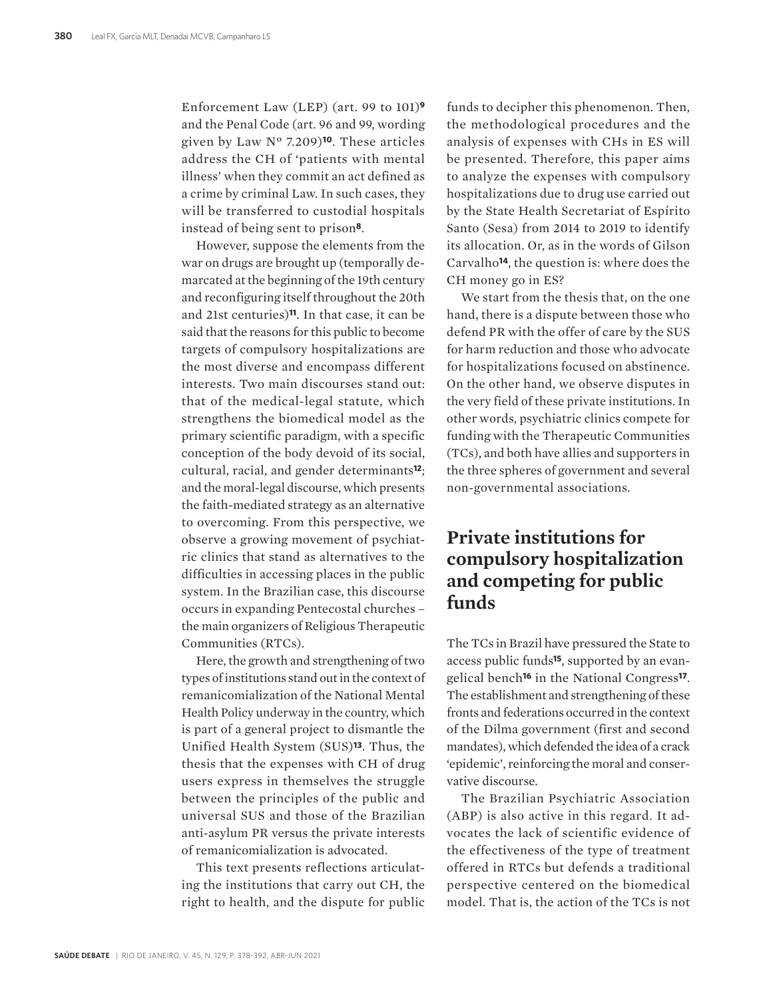Enforcement Law (LEP) (art. 99 to 101)**<sup>9</sup>** and the Penal Code (art. 96 and 99, wording given by Law Nº 7.209)**10**. These articles address the CH of 'patients with mental illness' when they commit an act defined as a crime by criminal Law. In such cases, they will be transferred to custodial hospitals instead of being sent to prison**8**.

However, suppose the elements from the war on drugs are brought up (temporally demarcated at the beginning of the 19th century and reconfiguring itself throughout the 20th and 21st centuries)**11**. In that case, it can be said that the reasons for this public to become targets of compulsory hospitalizations are the most diverse and encompass different interests. Two main discourses stand out: that of the medical-legal statute, which strengthens the biomedical model as the primary scientific paradigm, with a specific conception of the body devoid of its social, cultural, racial, and gender determinants**12**; and the moral-legal discourse, which presents the faith-mediated strategy as an alternative to overcoming. From this perspective, we observe a growing movement of psychiatric clinics that stand as alternatives to the difficulties in accessing places in the public system. In the Brazilian case, this discourse occurs in expanding Pentecostal churches – the main organizers of Religious Therapeutic Communities (RTCs).

Here, the growth and strengthening of two types of institutions stand out in the context of remanicomialization of the National Mental Health Policy underway in the country, which is part of a general project to dismantle the Unified Health System (SUS)**13**. Thus, the thesis that the expenses with CH of drug users express in themselves the struggle between the principles of the public and universal SUS and those of the Brazilian anti-asylum PR versus the private interests of remanicomialization is advocated.

This text presents reflections articulating the institutions that carry out CH, the right to health, and the dispute for public

funds to decipher this phenomenon. Then, the methodological procedures and the analysis of expenses with CHs in ES will be presented. Therefore, this paper aims to analyze the expenses with compulsory hospitalizations due to drug use carried out by the State Health Secretariat of Espírito Santo (Sesa) from 2014 to 2019 to identify its allocation. Or, as in the words of Gilson Carvalho**14**, the question is: where does the CH money go in ES?

We start from the thesis that, on the one hand, there is a dispute between those who defend PR with the offer of care by the SUS for harm reduction and those who advocate for hospitalizations focused on abstinence. On the other hand, we observe disputes in the very field of these private institutions. In other words, psychiatric clinics compete for funding with the Therapeutic Communities (TCs), and both have allies and supporters in the three spheres of government and several non-governmental associations.

# **Private institutions for compulsory hospitalization and competing for public funds**

The TCs in Brazil have pressured the State to access public funds**15**, supported by an evangelical bench**16** in the National Congress**17**. The establishment and strengthening of these fronts and federations occurred in the context of the Dilma government (first and second mandates), which defended the idea of a crack 'epidemic', reinforcing the moral and conservative discourse.

The Brazilian Psychiatric Association (ABP) is also active in this regard. It advocates the lack of scientific evidence of the effectiveness of the type of treatment offered in RTCs but defends a traditional perspective centered on the biomedical model. That is, the action of the TCs is not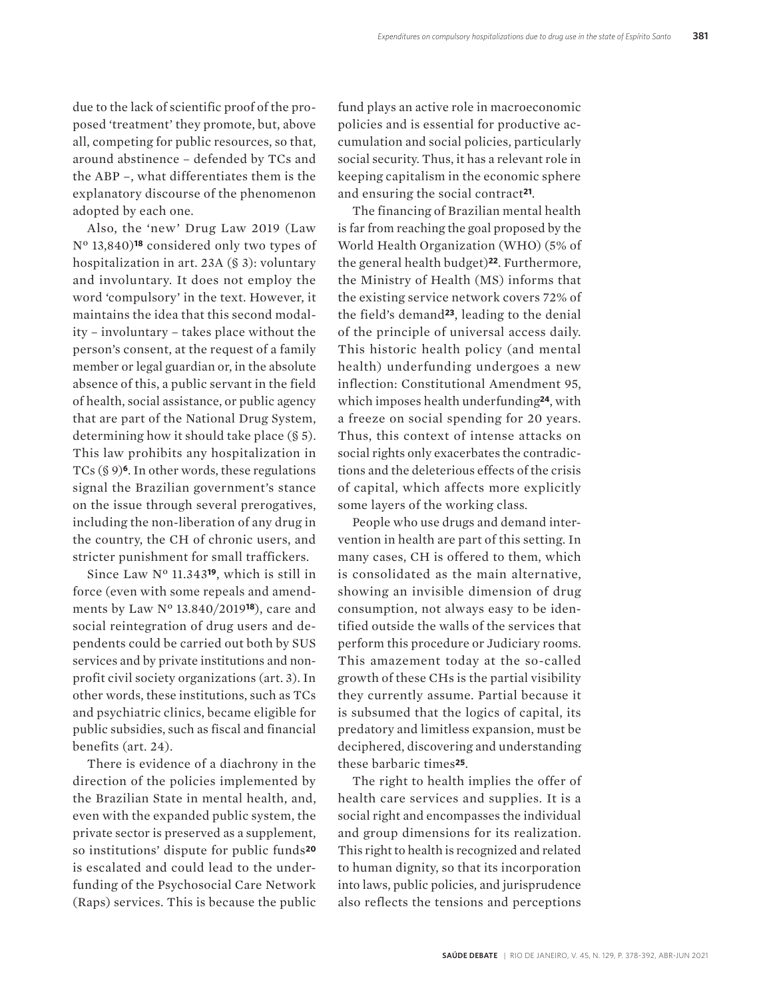due to the lack of scientific proof of the proposed 'treatment' they promote, but, above all, competing for public resources, so that, around abstinence – defended by TCs and the ABP –, what differentiates them is the explanatory discourse of the phenomenon adopted by each one.

Also, the 'new' Drug Law 2019 (Law Nº 13,840)**18** considered only two types of hospitalization in art. 23A (§ 3): voluntary and involuntary. It does not employ the word 'compulsory' in the text. However, it maintains the idea that this second modality – involuntary – takes place without the person's consent, at the request of a family member or legal guardian or, in the absolute absence of this, a public servant in the field of health, social assistance, or public agency that are part of the National Drug System, determining how it should take place (§ 5). This law prohibits any hospitalization in TCs (§ 9)**6**. In other words, these regulations signal the Brazilian government's stance on the issue through several prerogatives, including the non-liberation of any drug in the country, the CH of chronic users, and stricter punishment for small traffickers.

Since Law Nº 11.343**19**, which is still in force (even with some repeals and amendments by Law Nº 13.840/2019**18**), care and social reintegration of drug users and dependents could be carried out both by SUS services and by private institutions and nonprofit civil society organizations (art. 3). In other words, these institutions, such as TCs and psychiatric clinics, became eligible for public subsidies, such as fiscal and financial benefits (art. 24).

There is evidence of a diachrony in the direction of the policies implemented by the Brazilian State in mental health, and, even with the expanded public system, the private sector is preserved as a supplement, so institutions' dispute for public funds**<sup>20</sup>** is escalated and could lead to the underfunding of the Psychosocial Care Network (Raps) services. This is because the public fund plays an active role in macroeconomic policies and is essential for productive accumulation and social policies, particularly social security. Thus, it has a relevant role in keeping capitalism in the economic sphere and ensuring the social contract**21**.

The financing of Brazilian mental health is far from reaching the goal proposed by the World Health Organization (WHO) (5% of the general health budget)**22**. Furthermore, the Ministry of Health (MS) informs that the existing service network covers 72% of the field's demand**23**, leading to the denial of the principle of universal access daily. This historic health policy (and mental health) underfunding undergoes a new inflection: Constitutional Amendment 95, which imposes health underfunding**24**, with a freeze on social spending for 20 years. Thus, this context of intense attacks on social rights only exacerbates the contradictions and the deleterious effects of the crisis of capital, which affects more explicitly some layers of the working class.

People who use drugs and demand intervention in health are part of this setting. In many cases, CH is offered to them, which is consolidated as the main alternative, showing an invisible dimension of drug consumption, not always easy to be identified outside the walls of the services that perform this procedure or Judiciary rooms. This amazement today at the so-called growth of these CHs is the partial visibility they currently assume. Partial because it is subsumed that the logics of capital, its predatory and limitless expansion, must be deciphered, discovering and understanding these barbaric times**25**.

The right to health implies the offer of health care services and supplies. It is a social right and encompasses the individual and group dimensions for its realization. This right to health is recognized and related to human dignity, so that its incorporation into laws, public policies, and jurisprudence also reflects the tensions and perceptions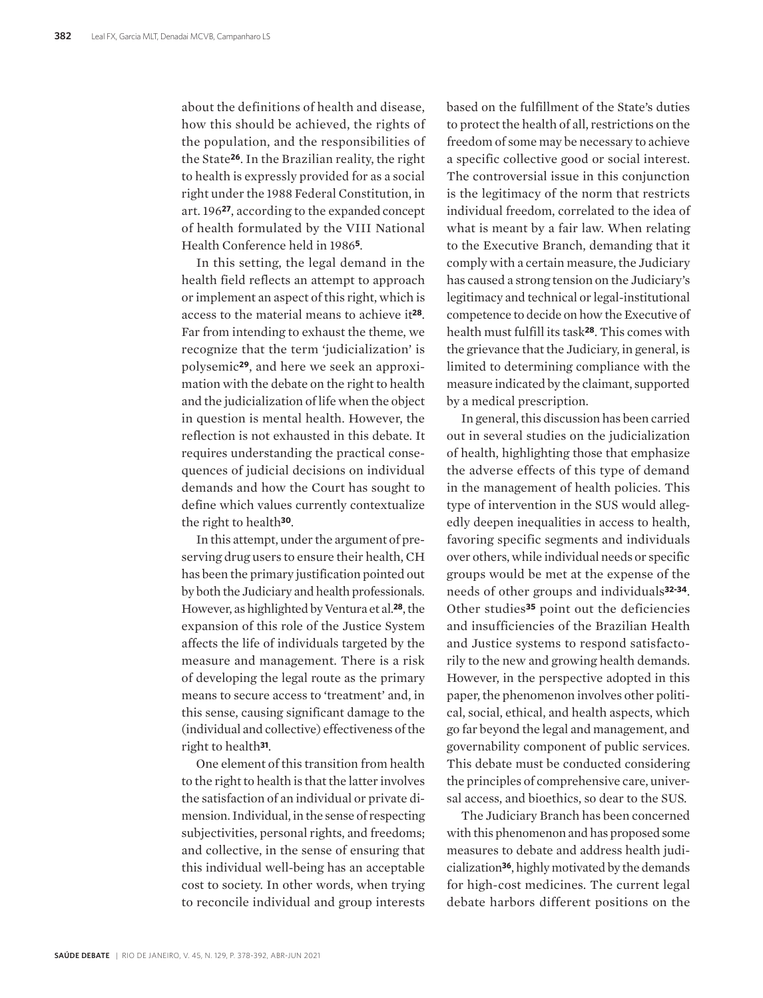about the definitions of health and disease, how this should be achieved, the rights of the population, and the responsibilities of the State**26**. In the Brazilian reality, the right to health is expressly provided for as a social right under the 1988 Federal Constitution, in art. 196**27**, according to the expanded concept of health formulated by the VIII National Health Conference held in 1986**5**.

In this setting, the legal demand in the health field reflects an attempt to approach or implement an aspect of this right, which is access to the material means to achieve it**28**. Far from intending to exhaust the theme, we recognize that the term 'judicialization' is polysemic**29**, and here we seek an approximation with the debate on the right to health and the judicialization of life when the object in question is mental health. However, the reflection is not exhausted in this debate. It requires understanding the practical consequences of judicial decisions on individual demands and how the Court has sought to define which values currently contextualize the right to health**30**.

In this attempt, under the argument of preserving drug users to ensure their health, CH has been the primary justification pointed out by both the Judiciary and health professionals. However, as highlighted by Ventura et al.**28**, the expansion of this role of the Justice System affects the life of individuals targeted by the measure and management. There is a risk of developing the legal route as the primary means to secure access to 'treatment' and, in this sense, causing significant damage to the (individual and collective) effectiveness of the right to health**31**.

One element of this transition from health to the right to health is that the latter involves the satisfaction of an individual or private dimension. Individual, in the sense of respecting subjectivities, personal rights, and freedoms; and collective, in the sense of ensuring that this individual well-being has an acceptable cost to society. In other words, when trying to reconcile individual and group interests

based on the fulfillment of the State's duties to protect the health of all, restrictions on the freedom of some may be necessary to achieve a specific collective good or social interest. The controversial issue in this conjunction is the legitimacy of the norm that restricts individual freedom, correlated to the idea of what is meant by a fair law. When relating to the Executive Branch, demanding that it comply with a certain measure, the Judiciary has caused a strong tension on the Judiciary's legitimacy and technical or legal-institutional competence to decide on how the Executive of health must fulfill its task**28**. This comes with the grievance that the Judiciary, in general, is limited to determining compliance with the measure indicated by the claimant, supported by a medical prescription.

In general, this discussion has been carried out in several studies on the judicialization of health, highlighting those that emphasize the adverse effects of this type of demand in the management of health policies. This type of intervention in the SUS would allegedly deepen inequalities in access to health, favoring specific segments and individuals over others, while individual needs or specific groups would be met at the expense of the needs of other groups and individuals**32-34**. Other studies**35** point out the deficiencies and insufficiencies of the Brazilian Health and Justice systems to respond satisfactorily to the new and growing health demands. However, in the perspective adopted in this paper, the phenomenon involves other political, social, ethical, and health aspects, which go far beyond the legal and management, and governability component of public services. This debate must be conducted considering the principles of comprehensive care, universal access, and bioethics, so dear to the SUS.

The Judiciary Branch has been concerned with this phenomenon and has proposed some measures to debate and address health judicialization**36**, highly motivated by the demands for high-cost medicines. The current legal debate harbors different positions on the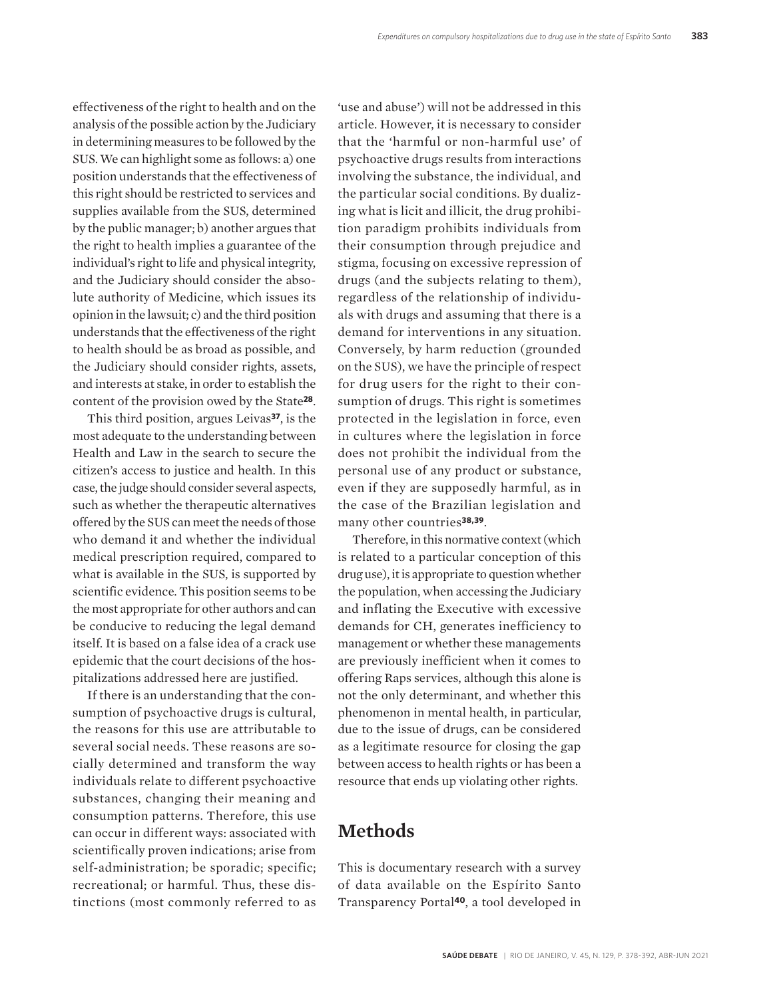effectiveness of the right to health and on the analysis of the possible action by the Judiciary in determining measures to be followed by the SUS. We can highlight some as follows: a) one position understands that the effectiveness of this right should be restricted to services and supplies available from the SUS, determined by the public manager; b) another argues that the right to health implies a guarantee of the individual's right to life and physical integrity, and the Judiciary should consider the absolute authority of Medicine, which issues its opinion in the lawsuit; c) and the third position understands that the effectiveness of the right to health should be as broad as possible, and the Judiciary should consider rights, assets, and interests at stake, in order to establish the content of the provision owed by the State**28**.

This third position, argues Leivas**37**, is the most adequate to the understanding between Health and Law in the search to secure the citizen's access to justice and health. In this case, the judge should consider several aspects, such as whether the therapeutic alternatives offered by the SUS can meet the needs of those who demand it and whether the individual medical prescription required, compared to what is available in the SUS, is supported by scientific evidence. This position seems to be the most appropriate for other authors and can be conducive to reducing the legal demand itself. It is based on a false idea of a crack use epidemic that the court decisions of the hospitalizations addressed here are justified.

If there is an understanding that the consumption of psychoactive drugs is cultural, the reasons for this use are attributable to several social needs. These reasons are socially determined and transform the way individuals relate to different psychoactive substances, changing their meaning and consumption patterns. Therefore, this use can occur in different ways: associated with scientifically proven indications; arise from self-administration; be sporadic; specific; recreational; or harmful. Thus, these distinctions (most commonly referred to as

'use and abuse') will not be addressed in this article. However, it is necessary to consider that the 'harmful or non-harmful use' of psychoactive drugs results from interactions involving the substance, the individual, and the particular social conditions. By dualizing what is licit and illicit, the drug prohibition paradigm prohibits individuals from their consumption through prejudice and stigma, focusing on excessive repression of drugs (and the subjects relating to them), regardless of the relationship of individuals with drugs and assuming that there is a demand for interventions in any situation. Conversely, by harm reduction (grounded on the SUS), we have the principle of respect for drug users for the right to their consumption of drugs. This right is sometimes protected in the legislation in force, even in cultures where the legislation in force does not prohibit the individual from the personal use of any product or substance, even if they are supposedly harmful, as in the case of the Brazilian legislation and many other countries**38,39**.

Therefore, in this normative context (which is related to a particular conception of this drug use), it is appropriate to question whether the population, when accessing the Judiciary and inflating the Executive with excessive demands for CH, generates inefficiency to management or whether these managements are previously inefficient when it comes to offering Raps services, although this alone is not the only determinant, and whether this phenomenon in mental health, in particular, due to the issue of drugs, can be considered as a legitimate resource for closing the gap between access to health rights or has been a resource that ends up violating other rights.

### **Methods**

This is documentary research with a survey of data available on the Espírito Santo Transparency Portal**40**, a tool developed in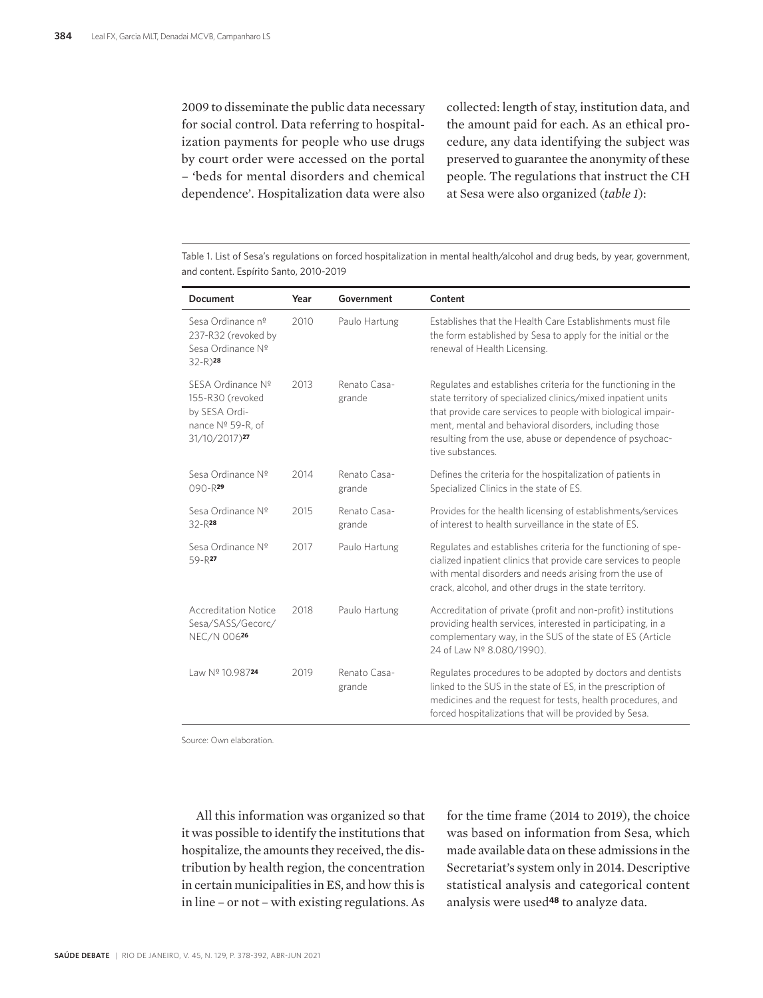2009 to disseminate the public data necessary for social control. Data referring to hospitalization payments for people who use drugs by court order were accessed on the portal – 'beds for mental disorders and chemical dependence'. Hospitalization data were also collected: length of stay, institution data, and the amount paid for each. As an ethical procedure, any data identifying the subject was preserved to guarantee the anonymity of these people. The regulations that instruct the CH at Sesa were also organized (*table 1*):

Table 1. List of Sesa's regulations on forced hospitalization in mental health/alcohol and drug beds, by year, government, and content. Espírito Santo, 2010-2019

| <b>Document</b>                                                                                          | Year | Government             | Content                                                                                                                                                                                                                                                                                                                                |  |
|----------------------------------------------------------------------------------------------------------|------|------------------------|----------------------------------------------------------------------------------------------------------------------------------------------------------------------------------------------------------------------------------------------------------------------------------------------------------------------------------------|--|
| Sesa Ordinance nº<br>237-R32 (revoked by<br>Sesa Ordinance Nº<br>$32 - R$ ) <sup>28</sup>                | 2010 | Paulo Hartung          | Establishes that the Health Care Establishments must file<br>the form established by Sesa to apply for the initial or the<br>renewal of Health Licensing.                                                                                                                                                                              |  |
| SESA Ordinance Nº<br>155-R30 (revoked<br>by SESA Ordi-<br>nance Nº 59-R, of<br>31/10/2017) <sup>27</sup> | 2013 | Renato Casa-<br>grande | Regulates and establishes criteria for the functioning in the<br>state territory of specialized clinics/mixed inpatient units<br>that provide care services to people with biological impair-<br>ment, mental and behavioral disorders, including those<br>resulting from the use, abuse or dependence of psychoac-<br>tive substances |  |
| Sesa Ordinance Nº<br>$090 - R$ <sup>29</sup>                                                             | 2014 | Renato Casa-<br>grande | Defines the criteria for the hospitalization of patients in<br>Specialized Clinics in the state of ES.                                                                                                                                                                                                                                 |  |
| Sesa Ordinance Nº<br>$32 - R^{28}$                                                                       | 2015 | Renato Casa-<br>grande | Provides for the health licensing of establishments/services<br>of interest to health surveillance in the state of ES.                                                                                                                                                                                                                 |  |
| Sesa Ordinance Nº<br>59-R27                                                                              | 2017 | Paulo Hartung          | Regulates and establishes criteria for the functioning of spe-<br>cialized inpatient clinics that provide care services to people<br>with mental disorders and needs arising from the use of<br>crack, alcohol, and other drugs in the state territory.                                                                                |  |
| <b>Accreditation Notice</b><br>Sesa/SASS/Gecorc/<br>NEC/N 00626                                          | 2018 | Paulo Hartung          | Accreditation of private (profit and non-profit) institutions<br>providing health services, interested in participating, in a<br>complementary way, in the SUS of the state of ES (Article<br>24 of Law Nº 8.080/1990).                                                                                                                |  |
| Law Nº 10.98724                                                                                          | 2019 | Renato Casa-<br>grande | Regulates procedures to be adopted by doctors and dentists<br>linked to the SUS in the state of ES, in the prescription of<br>medicines and the request for tests, health procedures, and<br>forced hospitalizations that will be provided by Sesa.                                                                                    |  |

Source: Own elaboration.

All this information was organized so that it was possible to identify the institutions that hospitalize, the amounts they received, the distribution by health region, the concentration in certain municipalities in ES, and how this is in line – or not – with existing regulations. As

for the time frame (2014 to 2019), the choice was based on information from Sesa, which made available data on these admissions in the Secretariat's system only in 2014. Descriptive statistical analysis and categorical content analysis were used**48** to analyze data.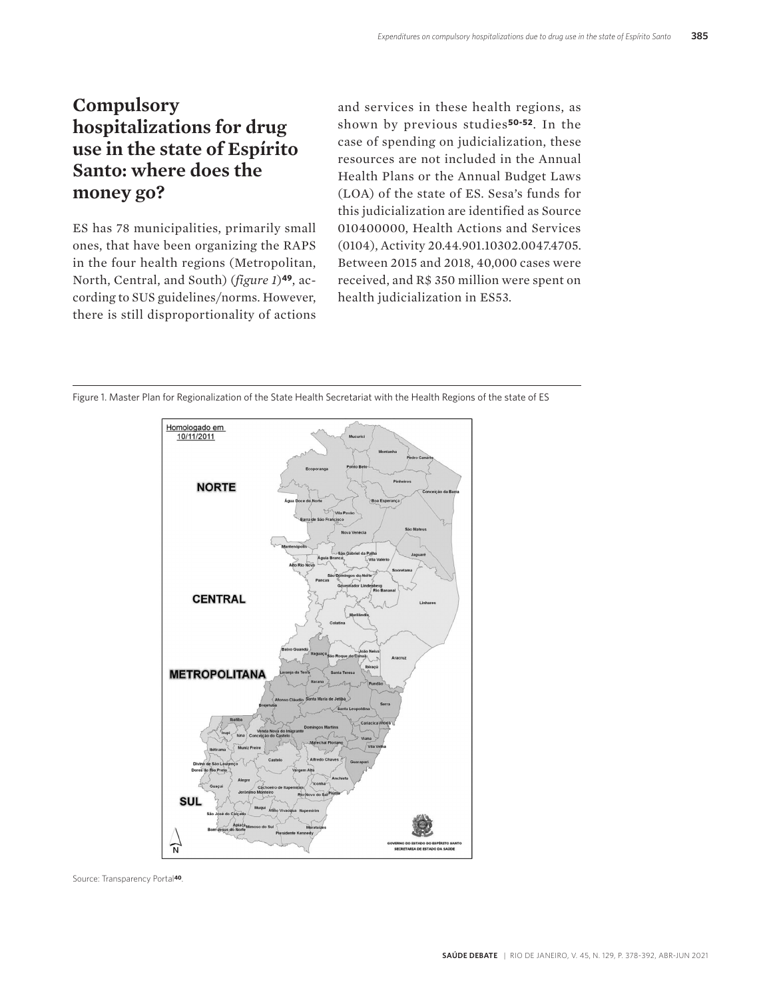# **Compulsory hospitalizations for drug use in the state of Espírito Santo: where does the money go?**

ES has 78 municipalities, primarily small ones, that have been organizing the RAPS in the four health regions (Metropolitan, North, Central, and South) (*figure 1*)**49**, according to SUS guidelines/norms. However, there is still disproportionality of actions

and services in these health regions, as shown by previous studies**50-52**. In the case of spending on judicialization, these resources are not included in the Annual Health Plans or the Annual Budget Laws (LOA) of the state of ES. Sesa's funds for this judicialization are identified as Source 010400000, Health Actions and Services (0104), Activity 20.44.901.10302.0047.4705. Between 2015 and 2018, 40,000 cases were received, and R\$ 350 million were spent on health judicialization in ES53.

Figure 1. Master Plan for Regionalization of the State Health Secretariat with the Health Regions of the state of ES



Source: Transparency Portal**40**.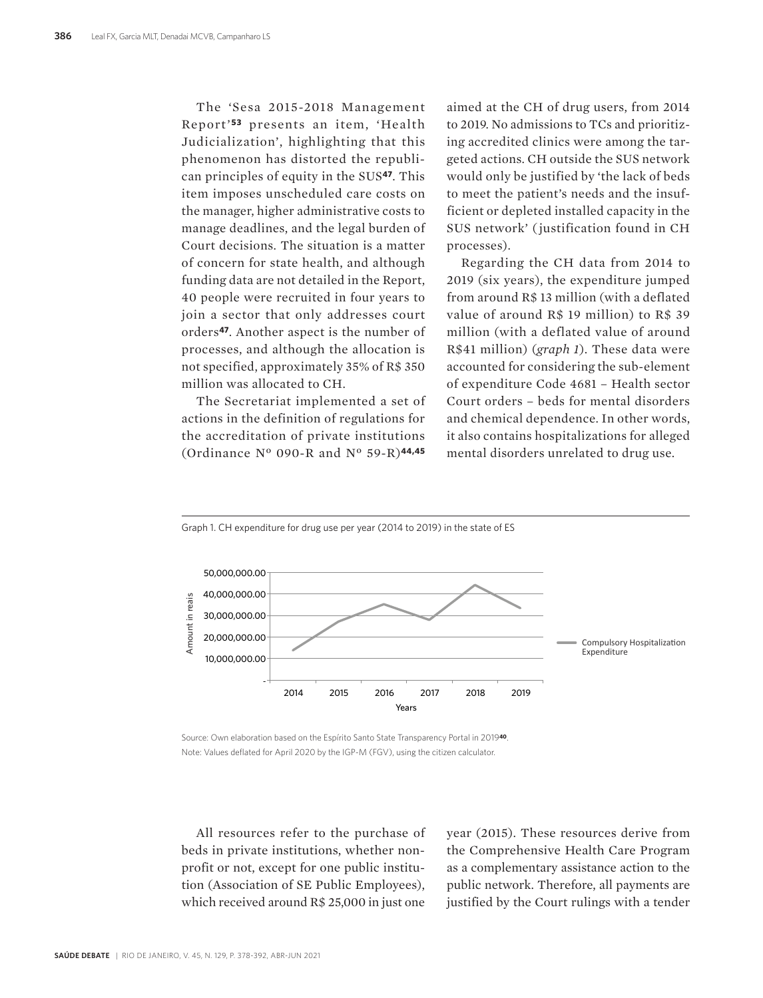The 'Sesa 2015-2018 Management Report'**53** presents an item, 'Health Judicialization', highlighting that this phenomenon has distorted the republican principles of equity in the SUS**47**. This item imposes unscheduled care costs on the manager, higher administrative costs to manage deadlines, and the legal burden of Court decisions. The situation is a matter of concern for state health, and although funding data are not detailed in the Report, 40 people were recruited in four years to join a sector that only addresses court orders**47**. Another aspect is the number of processes, and although the allocation is not specified, approximately 35% of R\$ 350 million was allocated to CH.

The Secretariat implemented a set of actions in the definition of regulations for the accreditation of private institutions (Ordinance Nº 090-R and Nº 59-R)**44,45**

aimed at the CH of drug users, from 2014 to 2019. No admissions to TCs and prioritizing accredited clinics were among the targeted actions. CH outside the SUS network would only be justified by 'the lack of beds to meet the patient's needs and the insufficient or depleted installed capacity in the SUS network' ( justification found in CH processes).

Regarding the CH data from 2014 to 2019 (six years), the expenditure jumped from around R\$ 13 million (with a deflated value of around R\$ 19 million) to R\$ 39 million (with a deflated value of around R\$41 million) (*graph 1*). These data were accounted for considering the sub-element of expenditure Code 4681 – Health sector Court orders – beds for mental disorders and chemical dependence. In other words, it also contains hospitalizations for alleged mental disorders unrelated to drug use.



Source: Own elaboration based on the Espírito Santo State Transparency Portal in 2019**40**. Note: Values deflated for April 2020 by the IGP-M (FGV), using the citizen calculator.

All resources refer to the purchase of beds in private institutions, whether nonprofit or not, except for one public institution (Association of SE Public Employees), which received around R\$ 25,000 in just one

year (2015). These resources derive from the Comprehensive Health Care Program as a complementary assistance action to the public network. Therefore, all payments are justified by the Court rulings with a tender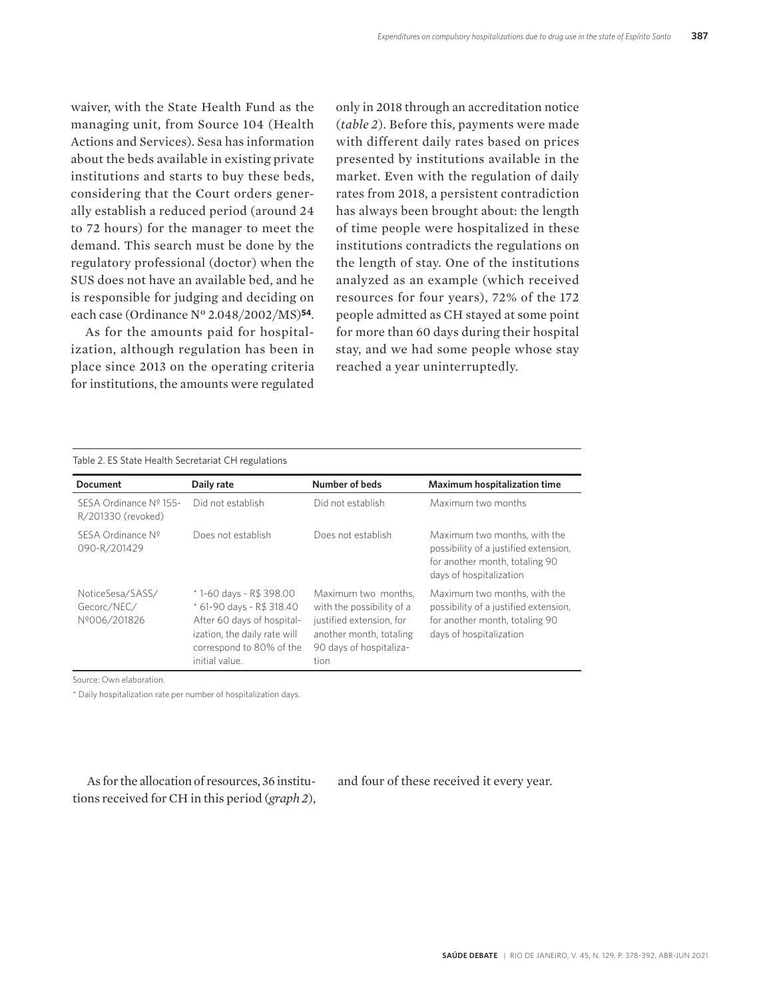waiver, with the State Health Fund as the managing unit, from Source 104 (Health Actions and Services). Sesa has information about the beds available in existing private institutions and starts to buy these beds, considering that the Court orders generally establish a reduced period (around 24 to 72 hours) for the manager to meet the demand. This search must be done by the regulatory professional (doctor) when the SUS does not have an available bed, and he is responsible for judging and deciding on each case (Ordinance Nº 2.048/2002/MS)**54**.

As for the amounts paid for hospitalization, although regulation has been in place since 2013 on the operating criteria for institutions, the amounts were regulated only in 2018 through an accreditation notice (*table 2*). Before this, payments were made with different daily rates based on prices presented by institutions available in the market. Even with the regulation of daily rates from 2018, a persistent contradiction has always been brought about: the length of time people were hospitalized in these institutions contradicts the regulations on the length of stay. One of the institutions analyzed as an example (which received resources for four years), 72% of the 172 people admitted as CH stayed at some point for more than 60 days during their hospital stay, and we had some people whose stay reached a year uninterruptedly.

| <b>Document</b>                                 | Daily rate                                                                                                                                                       | Number of beds                                                                                                                             | <b>Maximum hospitalization time</b>                                                                                                |  |  |
|-------------------------------------------------|------------------------------------------------------------------------------------------------------------------------------------------------------------------|--------------------------------------------------------------------------------------------------------------------------------------------|------------------------------------------------------------------------------------------------------------------------------------|--|--|
| SESA Ordinance Nº 155-<br>R/201330 (revoked)    | Did not establish                                                                                                                                                | Did not establish                                                                                                                          | Maximum two months                                                                                                                 |  |  |
| SESA Ordinance Nº<br>090-R/201429               | Does not establish                                                                                                                                               | Does not establish                                                                                                                         | Maximum two months, with the<br>possibility of a justified extension,<br>for another month, totaling 90<br>days of hospitalization |  |  |
| NoticeSesa/SASS/<br>Gecorc/NEC/<br>Nº006/201826 | *1-60 days - R\$ 398.00<br>* 61-90 days - R\$ 318.40<br>After 60 days of hospital-<br>ization, the daily rate will<br>correspond to 80% of the<br>initial value. | Maximum two months.<br>with the possibility of a<br>justified extension, for<br>another month, totaling<br>90 days of hospitaliza-<br>tion | Maximum two months, with the<br>possibility of a justified extension,<br>for another month, totaling 90<br>days of hospitalization |  |  |

Source: Own elaboration.

\* Daily hospitalization rate per number of hospitalization days.

As for the allocation of resources, 36 institutions received for CH in this period (*graph 2*), and four of these received it every year.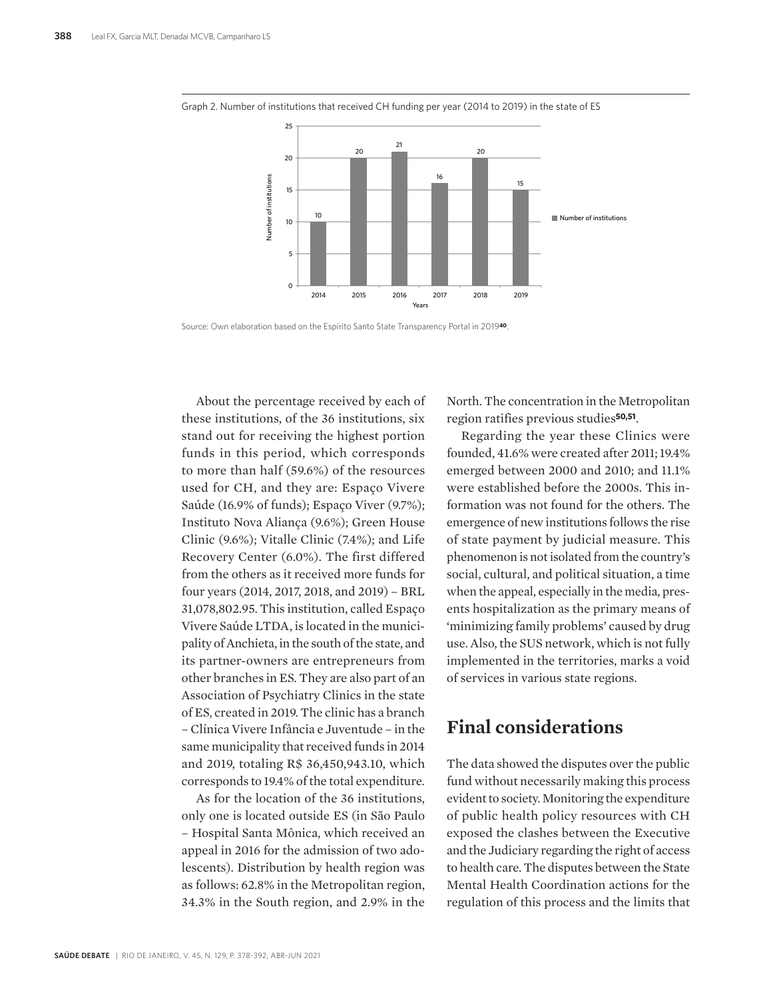

Graph 2. Number of institutions that received CH funding per year (2014 to 2019) in the state of ES

Source: Own elaboration based on the Espírito Santo State Transparency Portal in 2019**40**.

About the percentage received by each of these institutions, of the 36 institutions, six stand out for receiving the highest portion funds in this period, which corresponds to more than half (59.6%) of the resources used for CH, and they are: Espaço Vivere Saúde (16.9% of funds); Espaço Viver (9.7%); Instituto Nova Aliança (9.6%); Green House Clinic (9.6%); Vitalle Clinic (7.4%); and Life Recovery Center (6.0%). The first differed from the others as it received more funds for four years (2014, 2017, 2018, and 2019) – BRL 31,078,802.95. This institution, called Espaço Vivere Saúde LTDA, is located in the municipality of Anchieta, in the south of the state, and its partner-owners are entrepreneurs from other branches in ES. They are also part of an Association of Psychiatry Clinics in the state of ES, created in 2019. The clinic has a branch – Clínica Vivere Infância e Juventude – in the same municipality that received funds in 2014 and 2019, totaling R\$ 36,450,943.10, which corresponds to 19.4% of the total expenditure.

As for the location of the 36 institutions, only one is located outside ES (in São Paulo – Hospital Santa Mônica, which received an appeal in 2016 for the admission of two adolescents). Distribution by health region was as follows: 62.8% in the Metropolitan region, 34.3% in the South region, and 2.9% in the

North. The concentration in the Metropolitan region ratifies previous studies**50,51**.

Regarding the year these Clinics were founded, 41.6% were created after 2011; 19.4% emerged between 2000 and 2010; and 11.1% were established before the 2000s. This information was not found for the others. The emergence of new institutions follows the rise of state payment by judicial measure. This phenomenon is not isolated from the country's social, cultural, and political situation, a time when the appeal, especially in the media, presents hospitalization as the primary means of 'minimizing family problems' caused by drug use. Also, the SUS network, which is not fully implemented in the territories, marks a void of services in various state regions.

## **Final considerations**

The data showed the disputes over the public fund without necessarily making this process evident to society. Monitoring the expenditure of public health policy resources with CH exposed the clashes between the Executive and the Judiciary regarding the right of access to health care. The disputes between the State Mental Health Coordination actions for the regulation of this process and the limits that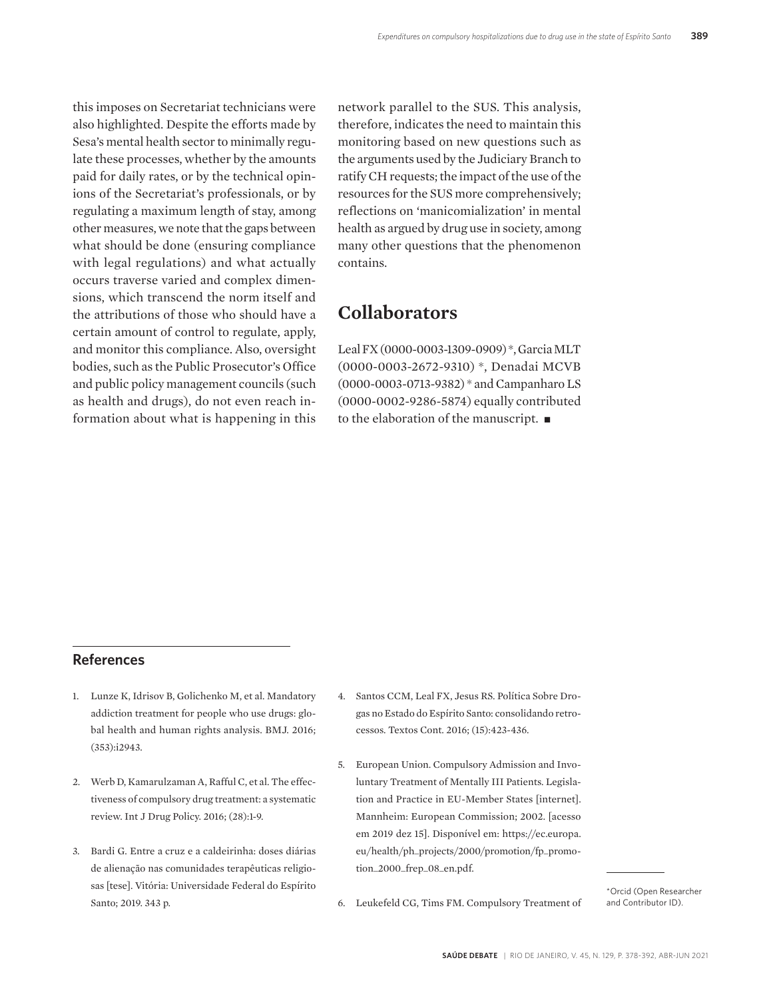this imposes on Secretariat technicians were also highlighted. Despite the efforts made by Sesa's mental health sector to minimally regulate these processes, whether by the amounts paid for daily rates, or by the technical opinions of the Secretariat's professionals, or by regulating a maximum length of stay, among other measures, we note that the gaps between what should be done (ensuring compliance with legal regulations) and what actually occurs traverse varied and complex dimensions, which transcend the norm itself and the attributions of those who should have a certain amount of control to regulate, apply, and monitor this compliance. Also, oversight bodies, such as the Public Prosecutor's Office and public policy management councils (such as health and drugs), do not even reach information about what is happening in this network parallel to the SUS. This analysis, therefore, indicates the need to maintain this monitoring based on new questions such as the arguments used by the Judiciary Branch to ratify CH requests; the impact of the use of the resources for the SUS more comprehensively; reflections on 'manicomialization' in mental health as argued by drug use in society, among many other questions that the phenomenon contains.

#### **Collaborators**

Leal FX (0000-0003-1309-0909) \*, Garcia MLT (0000-0003-2672-9310) \*, Denadai MCVB (0000-0003-0713-9382) \* and Campanharo LS (0000-0002-9286-5874) equally contributed to the elaboration of the manuscript.  $\blacksquare$ 

#### **References**

- 1. Lunze K, Idrisov B, Golichenko M, et al. Mandatory addiction treatment for people who use drugs: global health and human rights analysis. BMJ. 2016; (353):i2943.
- 2. Werb D, Kamarulzaman A, Rafful C, et al. The effectiveness of compulsory drug treatment: a systematic review. Int J Drug Policy. 2016; (28):1-9.
- 3. Bardi G. Entre a cruz e a caldeirinha: doses diárias de alienação nas comunidades terapêuticas religiosas [tese]. Vitória: Universidade Federal do Espírito Santo; 2019. 343 p.
- 4. Santos CCM, Leal FX, Jesus RS. Política Sobre Drogas no Estado do Espírito Santo: consolidando retrocessos. Textos Cont. 2016; (15):423-436.
- 5. European Union. Compulsory Admission and Involuntary Treatment of Mentally III Patients. Legislation and Practice in EU-Member States [internet]. Mannheim: European Commission; 2002. [acesso em 2019 dez 15]. Disponível em: https://ec.europa. eu/health/ph\_projects/2000/promotion/fp\_promotion\_2000\_frep\_08\_en.pdf.

\*Orcid (Open Researcher and Contributor ID).

6. Leukefeld CG, Tims FM. Compulsory Treatment of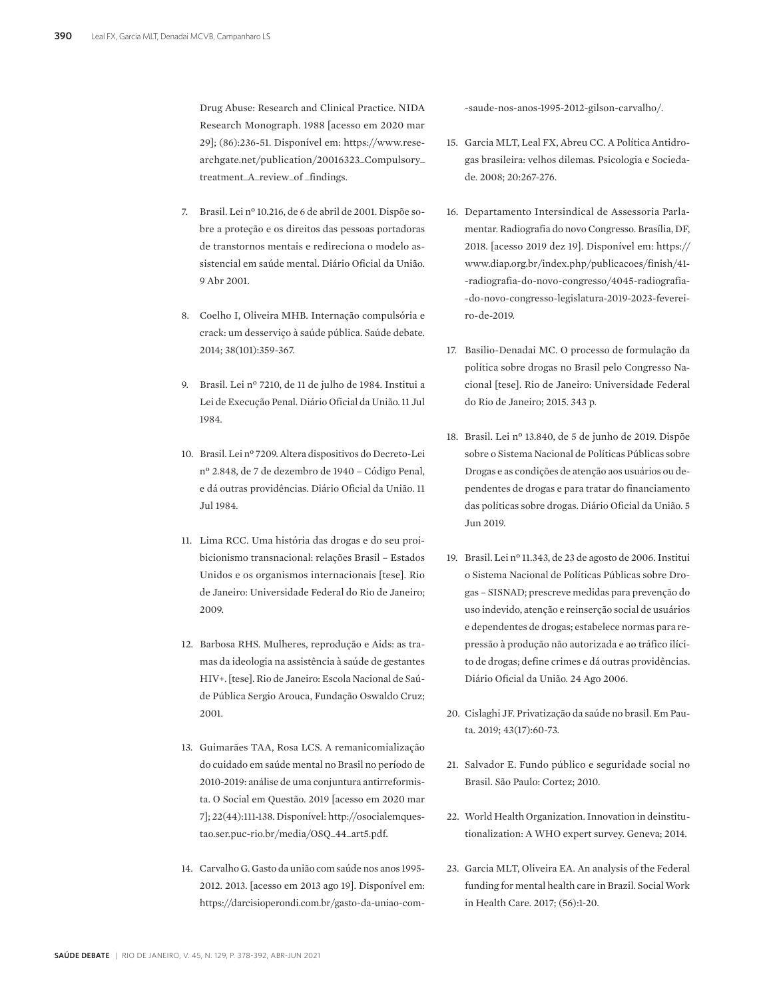Drug Abuse: Research and Clinical Practice. NIDA Research Monograph. 1988 [acesso em 2020 mar 29]; (86):236-51. Disponível em: https://www.researchgate.net/publication/20016323\_Compulsory\_ treatment\_A\_review\_of \_findings.

- 7. Brasil. Lei nº 10.216, de 6 de abril de 2001. Dispõe sobre a proteção e os direitos das pessoas portadoras de transtornos mentais e redireciona o modelo assistencial em saúde mental. Diário Oficial da União. 9 Abr 2001.
- 8. Coelho I, Oliveira MHB. Internação compulsória e crack: um desserviço à saúde pública. Saúde debate. 2014; 38(101):359-367.
- 9. Brasil. Lei nº 7210, de 11 de julho de 1984. Institui a Lei de Execução Penal. Diário Oficial da União. 11 Jul 1984.
- 10. Brasil. Lei nº 7209. Altera dispositivos do Decreto-Lei nº 2.848, de 7 de dezembro de 1940 – Código Penal, e dá outras providências. Diário Oficial da União. 11 Jul 1984.
- 11. Lima RCC. Uma história das drogas e do seu proibicionismo transnacional: relações Brasil – Estados Unidos e os organismos internacionais [tese]. Rio de Janeiro: Universidade Federal do Rio de Janeiro; 2009.
- 12. Barbosa RHS. Mulheres, reprodução e Aids: as tramas da ideologia na assistência à saúde de gestantes HIV+. [tese]. Rio de Janeiro: Escola Nacional de Saúde Pública Sergio Arouca, Fundação Oswaldo Cruz; 2001.
- 13. Guimarães TAA, Rosa LCS. A remanicomialização do cuidado em saúde mental no Brasil no período de 2010-2019: análise de uma conjuntura antirreformista. O Social em Questão. 2019 [acesso em 2020 mar 7]; 22(44):111-138. Disponível: http://osocialemquestao.ser.puc-rio.br/media/OSQ\_44\_art5.pdf.
- 14. Carvalho G. Gasto da união com saúde nos anos 1995- 2012. 2013. [acesso em 2013 ago 19]. Disponível em: https://darcisioperondi.com.br/gasto-da-uniao-com-

-saude-nos-anos-1995-2012-gilson-carvalho/.

- 15. Garcia MLT, Leal FX, Abreu CC. A Política Antidrogas brasileira: velhos dilemas. Psicologia e Sociedade. 2008; 20:267-276.
- 16. Departamento Intersindical de Assessoria Parlamentar. Radiografia do novo Congresso. Brasília, DF, 2018. [acesso 2019 dez 19]. Disponível em: https:// www.diap.org.br/index.php/publicacoes/finish/41- -radiografia-do-novo-congresso/4045-radiografia- -do-novo-congresso-legislatura-2019-2023-fevereiro-de-2019.
- 17. Basilio-Denadai MC. O processo de formulação da política sobre drogas no Brasil pelo Congresso Nacional [tese]. Rio de Janeiro: Universidade Federal do Rio de Janeiro; 2015. 343 p.
- 18. Brasil. Lei nº 13.840, de 5 de junho de 2019. Dispõe sobre o Sistema Nacional de Políticas Públicas sobre Drogas e as condições de atenção aos usuários ou dependentes de drogas e para tratar do financiamento das políticas sobre drogas. Diário Oficial da União. 5 Jun 2019.
- 19. Brasil. Lei nº 11.343, de 23 de agosto de 2006. Institui o Sistema Nacional de Políticas Públicas sobre Drogas – SISNAD; prescreve medidas para prevenção do uso indevido, atenção e reinserção social de usuários e dependentes de drogas; estabelece normas para repressão à produção não autorizada e ao tráfico ilícito de drogas; define crimes e dá outras providências. Diário Oficial da União. 24 Ago 2006.
- 20. Cislaghi JF. Privatização da saúde no brasil. Em Pauta. 2019; 43(17):60-73.
- 21. Salvador E. Fundo público e seguridade social no Brasil. São Paulo: Cortez; 2010.
- 22. World Health Organization. Innovation in deinstitutionalization: A WHO expert survey. Geneva; 2014.
- 23. Garcia MLT, Oliveira EA. An analysis of the Federal funding for mental health care in Brazil. Social Work in Health Care. 2017; (56):1-20.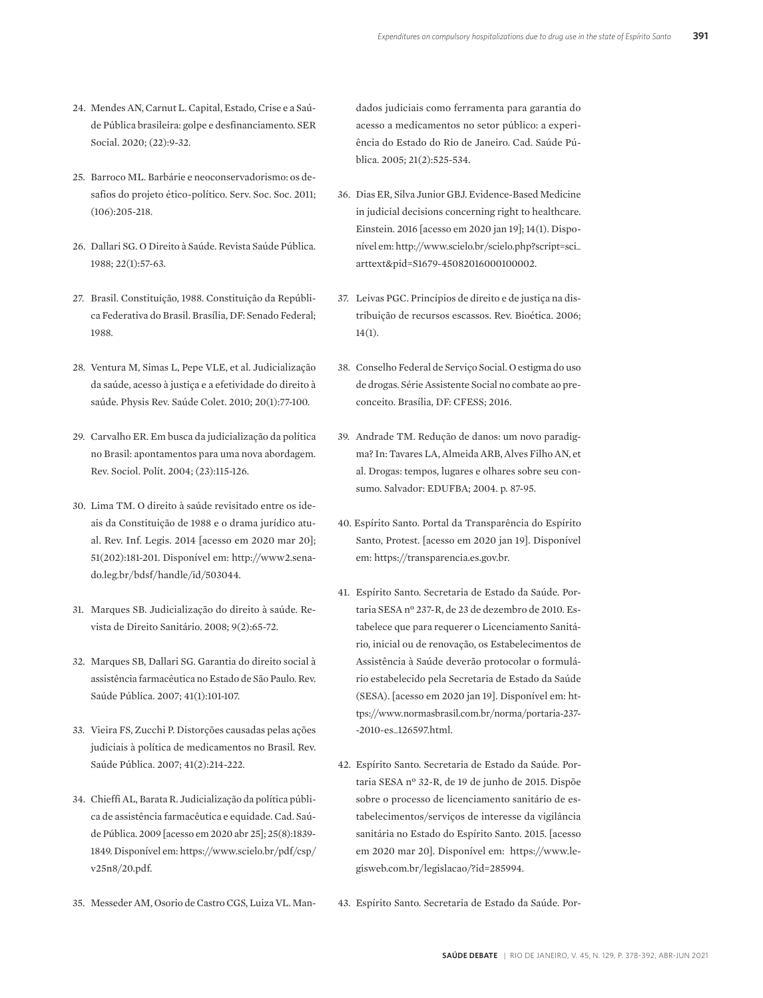- 24. Mendes AN, Carnut L. Capital, Estado, Crise e a Saúde Pública brasileira: golpe e desfinanciamento. SER Social. 2020; (22):9-32.
- 25. Barroco ML. Barbárie e neoconservadorismo: os desafios do projeto ético-político. Serv. Soc. Soc. 2011; (106):205-218.
- 26. Dallari SG. O Direito à Saúde. Revista Saúde Pública. 1988; 22(1):57-63.
- 27. Brasil. Constituição, 1988. Constituição da República Federativa do Brasil. Brasília, DF: Senado Federal; 1988.
- 28. Ventura M, Simas L, Pepe VLE, et al. Judicialização da saúde, acesso à justiça e a efetividade do direito à saúde. Physis Rev. Saúde Colet. 2010; 20(1):77-100.
- 29. Carvalho ER. Em busca da judicialização da política no Brasil: apontamentos para uma nova abordagem. Rev. Sociol. Polít. 2004; (23):115-126.
- 30. Lima TM. O direito à saúde revisitado entre os ideais da Constituição de 1988 e o drama jurídico atual. Rev. Inf. Legis. 2014 [acesso em 2020 mar 20]; 51(202):181-201. Disponível em: http://www2.senado.leg.br/bdsf/handle/id/503044.
- 31. Marques SB. Judicialização do direito à saúde. Revista de Direito Sanitário. 2008; 9(2):65-72.
- 32. Marques SB, Dallari SG. Garantia do direito social à assistência farmacêutica no Estado de São Paulo. Rev. Saúde Pública. 2007; 41(1):101-107.
- 33. Vieira FS, Zucchi P. Distorções causadas pelas ações judiciais à política de medicamentos no Brasil. Rev. Saúde Pública. 2007; 41(2):214-222.
- 34. Chieffi AL, Barata R. Judicialização da política pública de assistência farmacêutica e equidade. Cad. Saúde Pública. 2009 [acesso em 2020 abr 25]; 25(8):1839- 1849. Disponível em: https://www.scielo.br/pdf/csp/ v25n8/20.pdf.
- 35. Messeder AM, Osorio de Castro CGS, Luiza VL. Man-

dados judiciais como ferramenta para garantia do acesso a medicamentos no setor público: a experiência do Estado do Rio de Janeiro. Cad. Saúde Pública. 2005; 21(2):525-534.

- 36. Dias ER, Silva Junior GBJ. Evidence-Based Medicine in judicial decisions concerning right to healthcare. Einstein. 2016 [acesso em 2020 jan 19]; 14(1). Disponível em: http://www.scielo.br/scielo.php?script=sci\_ arttext&pid=S1679-45082016000100002.
- 37. Leivas PGC. Princípios de direito e de justiça na distribuição de recursos escassos. Rev. Bioética. 2006;  $14(1)$ .
- 38. Conselho Federal de Serviço Social. O estigma do uso de drogas. Série Assistente Social no combate ao preconceito. Brasília, DF: CFESS; 2016.
- 39. Andrade TM. Redução de danos: um novo paradigma? In: Tavares LA, Almeida ARB, Alves Filho AN, et al. Drogas: tempos, lugares e olhares sobre seu consumo. Salvador: EDUFBA; 2004. p. 87-95.
- 40. Espírito Santo. Portal da Transparência do Espírito Santo, Protest. [acesso em 2020 jan 19]. Disponível em: https://transparencia.es.gov.br.
- 41. Espírito Santo. Secretaria de Estado da Saúde. Portaria SESA nº 237-R, de 23 de dezembro de 2010. Estabelece que para requerer o Licenciamento Sanitário, inicial ou de renovação, os Estabelecimentos de Assistência à Saúde deverão protocolar o formulário estabelecido pela Secretaria de Estado da Saúde (SESA). [acesso em 2020 jan 19]. Disponível em: https://www.normasbrasil.com.br/norma/portaria-237- -2010-es\_126597.html.
- 42. Espírito Santo. Secretaria de Estado da Saúde. Portaria SESA nº 32-R, de 19 de junho de 2015. Dispõe sobre o processo de licenciamento sanitário de estabelecimentos/serviços de interesse da vigilância sanitária no Estado do Espírito Santo. 2015. [acesso em 2020 mar 20]. Disponível em: https://www.legisweb.com.br/legislacao/?id=285994.
- 43. Espírito Santo. Secretaria de Estado da Saúde. Por-